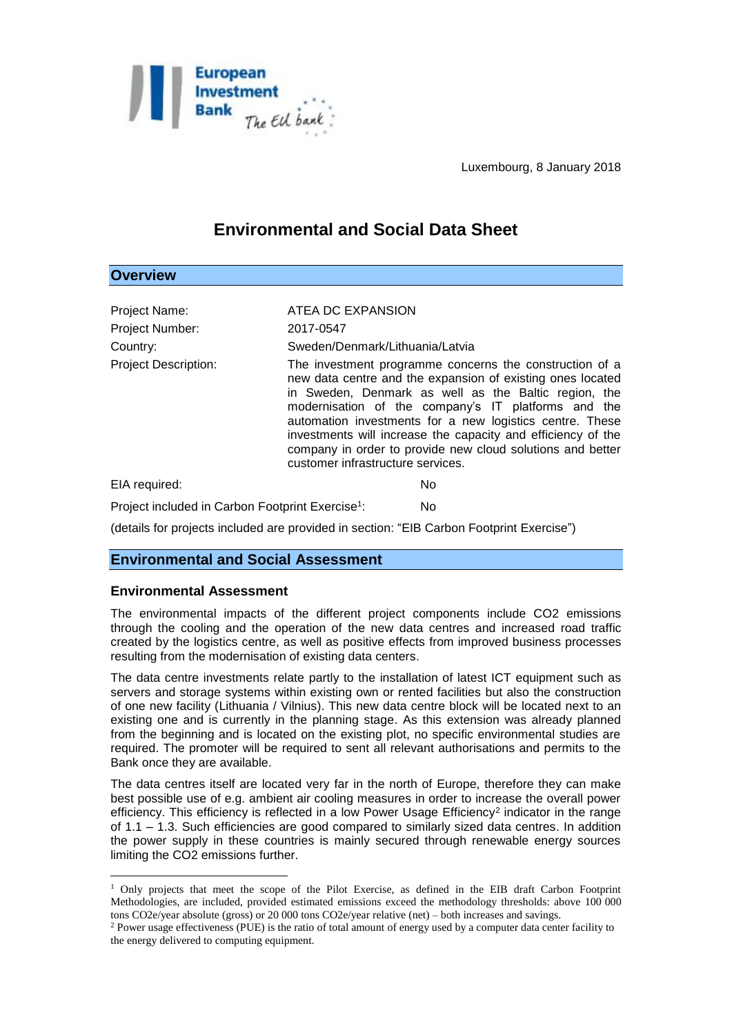

Luxembourg, 8 January 2018

# **Environmental and Social Data Sheet**

## **Overview**

| Project Name:<br>Project Number:<br>Country:<br><b>Project Description:</b> | ATEA DC EXPANSION<br>2017-0547<br>Sweden/Denmark/Lithuania/Latvia<br>The investment programme concerns the construction of a<br>new data centre and the expansion of existing ones located<br>in Sweden, Denmark as well as the Baltic region, the<br>modernisation of the company's IT platforms and the<br>automation investments for a new logistics centre. These<br>investments will increase the capacity and efficiency of the<br>company in order to provide new cloud solutions and better<br>customer infrastructure services. |
|-----------------------------------------------------------------------------|------------------------------------------------------------------------------------------------------------------------------------------------------------------------------------------------------------------------------------------------------------------------------------------------------------------------------------------------------------------------------------------------------------------------------------------------------------------------------------------------------------------------------------------|
| EIA required:                                                               | No                                                                                                                                                                                                                                                                                                                                                                                                                                                                                                                                       |

Project included in Carbon Footprint Exercise<sup>1</sup>: : No

(details for projects included are provided in section: "EIB Carbon Footprint Exercise")

## **Environmental and Social Assessment**

### **Environmental Assessment**

1

The environmental impacts of the different project components include CO2 emissions through the cooling and the operation of the new data centres and increased road traffic created by the logistics centre, as well as positive effects from improved business processes resulting from the modernisation of existing data centers.

The data centre investments relate partly to the installation of latest ICT equipment such as servers and storage systems within existing own or rented facilities but also the construction of one new facility (Lithuania / Vilnius). This new data centre block will be located next to an existing one and is currently in the planning stage. As this extension was already planned from the beginning and is located on the existing plot, no specific environmental studies are required. The promoter will be required to sent all relevant authorisations and permits to the Bank once they are available.

The data centres itself are located very far in the north of Europe, therefore they can make best possible use of e.g. ambient air cooling measures in order to increase the overall power efficiency. This efficiency is reflected in a low Power Usage Efficiency<sup>2</sup> indicator in the range of 1.1 – 1.3. Such efficiencies are good compared to similarly sized data centres. In addition the power supply in these countries is mainly secured through renewable energy sources limiting the CO2 emissions further.

<sup>&</sup>lt;sup>1</sup> Only projects that meet the scope of the Pilot Exercise, as defined in the EIB draft Carbon Footprint Methodologies, are included, provided estimated emissions exceed the methodology thresholds: above 100 000 tons CO2e/year absolute (gross) or 20 000 tons CO2e/year relative (net) – both increases and savings.

<sup>2</sup> Power usage effectiveness (PUE) is the ratio of total amount of energy used by a computer data center facility to the energy delivered to computing equipment.